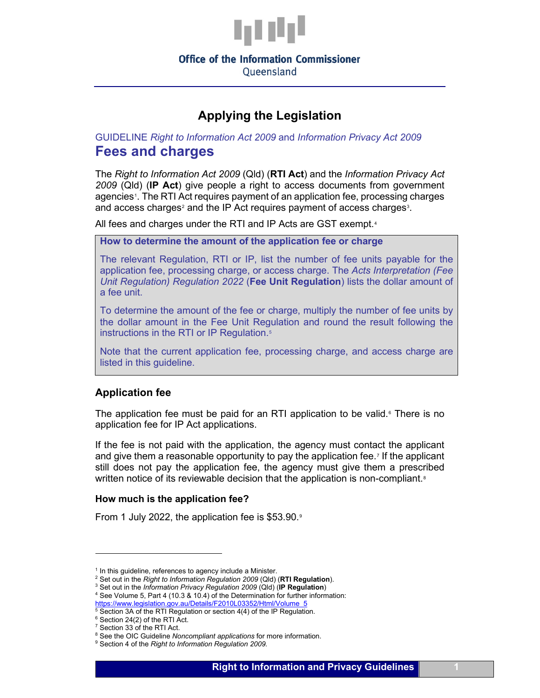

Queensland

# **Applying the Legislation**

## GUIDELINE *Right to Information Act 2009* and *Information Privacy Act 2009* **Fees and charges**

The *Right to Information Act 2009* (Qld) (**RTI Act**) and the *Information Privacy Act 2009* (Qld) (**IP Act**) give people a right to access documents from government agencies[1](#page-0-0). The RTI Act requires payment of an application fee, processing charges and access charges<sup>[2](#page-0-1)</sup> and the IP Act requires payment of access charges<sup>[3](#page-0-2)</sup>.

All fees and charges under the RTI and IP Acts are GST exempt.<sup>[4](#page-0-3)</sup>

**How to determine the amount of the application fee or charge**

The relevant Regulation, RTI or IP, list the number of fee units payable for the application fee, processing charge, or access charge. The *Acts Interpretation (Fee Unit Regulation) Regulation 2022* (**Fee Unit Regulation**) lists the dollar amount of a fee unit.

To determine the amount of the fee or charge, multiply the number of fee units by the dollar amount in the Fee Unit Regulation and round the result following the instructions in the RTI or IP Regulation.<sup>[5](#page-0-4)</sup>

Note that the current application fee, processing charge, and access charge are listed in this guideline.

## **Application fee**

The application fee must be paid for an RTI application to be valid.<sup> $6$ </sup> There is no application fee for IP Act applications.

If the fee is not paid with the application, the agency must contact the applicant and give them a reasonable opportunity to pay the application fee.[7](#page-0-6) If the applicant still does not pay the application fee, the agency must give them a prescribed written notice of its reviewable decision that the application is non-compliant. $^\mathrm{s}$ 

#### **How much is the application fee?**

From 1 July 2022, the application fee is \$53.[9](#page-0-8)0.<sup>9</sup>

<span id="page-0-0"></span> $1$  In this guideline, references to agency include a Minister.

<span id="page-0-1"></span><sup>2</sup> Set out in the *Right to Information Regulation 2009* (Qld) (**RTI Regulation**).

<span id="page-0-3"></span><span id="page-0-2"></span><sup>&</sup>lt;sup>4</sup> See Volume 5, Part 4 (10.3 & 10.4) of the Determination for further information: [https://www.legislation.gov.au/Details/F2010L03352/Html/Volume\\_5](https://www.legislation.gov.au/Details/F2010L03352/Html/Volume_5)

<span id="page-0-4"></span> $5$  Section 3A of the RTI Regulation or section 4(4) of the IP Regulation. <sup>6</sup> Section 24(2) of the RTI Act.

<sup>&</sup>lt;sup>7</sup> Section 33 of the RTI Act.

<span id="page-0-8"></span><span id="page-0-7"></span><span id="page-0-6"></span><span id="page-0-5"></span><sup>&</sup>lt;sup>8</sup> See the OIC Guideline *Noncompliant applications* for more information. <br><sup>9</sup> Section 4 of the *Right to Information Regulation 2009.*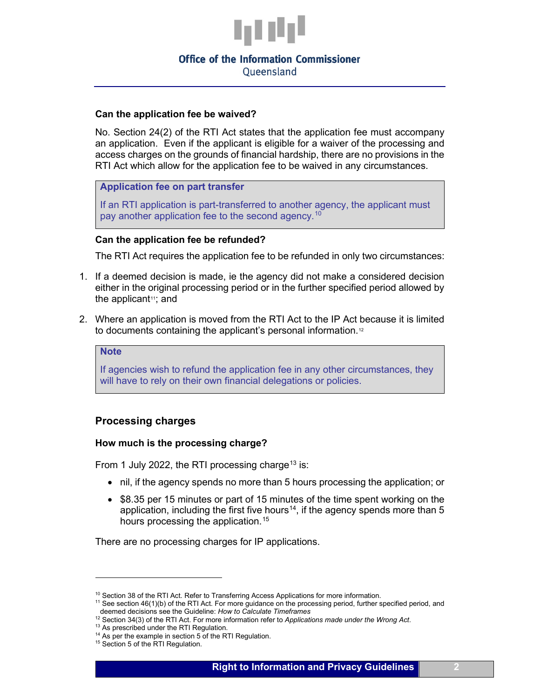

Queensland

## **Can the application fee be waived?**

No. Section 24(2) of the RTI Act states that the application fee must accompany an application. Even if the applicant is eligible for a waiver of the processing and access charges on the grounds of financial hardship, there are no provisions in the RTI Act which allow for the application fee to be waived in any circumstances.

## **Application fee on part transfer**

If an RTI application is part-transferred to another agency, the applicant must pay another application fee to the second agency.<sup>[10](#page-1-0)</sup>

## **Can the application fee be refunded?**

The RTI Act requires the application fee to be refunded in only two circumstances:

- 1. If a deemed decision is made, ie the agency did not make a considered decision either in the original processing period or in the further specified period allowed by the applicant $11$ ; and
- 2. Where an application is moved from the RTI Act to the IP Act because it is limited to documents containing the applicant's personal information.<sup>[12](#page-1-2)</sup>

#### **Note**

If agencies wish to refund the application fee in any other circumstances, they will have to rely on their own financial delegations or policies.

## **Processing charges**

#### **How much is the processing charge?**

From 1 July 2022, the RTI processing charge<sup>[13](#page-1-3)</sup> is:

- nil, if the agency spends no more than 5 hours processing the application; or
- \$8.35 per 15 minutes or part of 15 minutes of the time spent working on the application, including the first five hours<sup>14</sup>, if the agency spends more than 5 hours processing the application.<sup>[15](#page-1-5)</sup>

There are no processing charges for IP applications.

<span id="page-1-0"></span><sup>&</sup>lt;sup>10</sup> Section 38 of the RTI Act. Refer to Transferring Access Applications for more information.

<span id="page-1-1"></span><sup>&</sup>lt;sup>11</sup> See section 46(1)(b) of the RTI Act. For more guidance on the processing period, further specified period, and deemed decisions see the Guideline: *How to Calculate Timeframes*

<span id="page-1-2"></span><sup>&</sup>lt;sup>12</sup> Section 34(3) of the RTI Act. For more information refer to *Applications made under the Wrong Act.* 13 As prescribed under the RTI Regulation.

<span id="page-1-4"></span><span id="page-1-3"></span><sup>&</sup>lt;sup>14</sup> As per the example in section 5 of the RTI Regulation.

<span id="page-1-5"></span><sup>&</sup>lt;sup>15</sup> Section 5 of the RTI Regulation.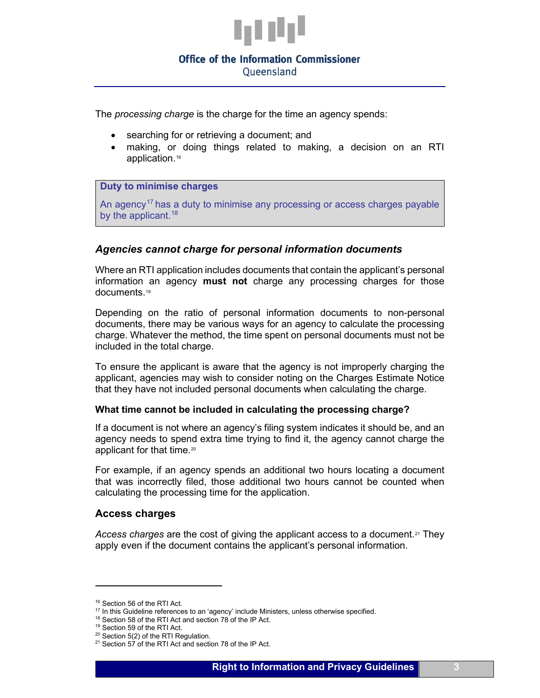

Queensland

The *processing charge* is the charge for the time an agency spends:

- searching for or retrieving a document; and
- making, or doing things related to making, a decision on an RTI application.<sup>[16](#page-2-0)</sup>

## **Duty to minimise charges**

An agency<sup>[17](#page-2-1)</sup> has a duty to minimise any processing or access charges payable by the applicant.<sup>[18](#page-2-2)</sup>

## *Agencies cannot charge for personal information documents*

Where an RTI application includes documents that contain the applicant's personal information an agency **must not** charge any processing charges for those documents.[19](#page-2-3) 

Depending on the ratio of personal information documents to non-personal documents, there may be various ways for an agency to calculate the processing charge. Whatever the method, the time spent on personal documents must not be included in the total charge.

To ensure the applicant is aware that the agency is not improperly charging the applicant, agencies may wish to consider noting on the Charges Estimate Notice that they have not included personal documents when calculating the charge.

#### **What time cannot be included in calculating the processing charge?**

If a document is not where an agency's filing system indicates it should be, and an agency needs to spend extra time trying to find it, the agency cannot charge the applicant for that time.<sup>[20](#page-2-4)</sup>

For example, if an agency spends an additional two hours locating a document that was incorrectly filed, those additional two hours cannot be counted when calculating the processing time for the application.

## **Access charges**

Access charges are the cost of giving the applicant access to a document.<sup>[21](#page-2-5)</sup> They apply even if the document contains the applicant's personal information.

<span id="page-2-1"></span><span id="page-2-0"></span><sup>16</sup> Section 56 of the RTI Act.

<sup>&</sup>lt;sup>17</sup> In this Guideline references to an 'agency' include Ministers, unless otherwise specified.

<span id="page-2-2"></span><sup>&</sup>lt;sup>18</sup> Section 58 of the RTI Act and section 78 of the IP Act.

<span id="page-2-3"></span><sup>19</sup> Section 59 of the RTI Act.

<sup>&</sup>lt;sup>20</sup> Section 5(2) of the RTI Regulation.

<span id="page-2-5"></span><span id="page-2-4"></span> $21$  Section 57 of the RTI Act and section 78 of the IP Act.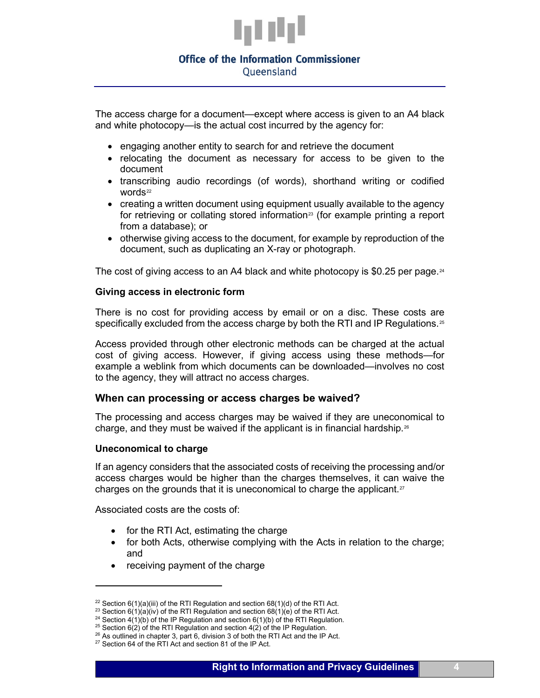

Queensland

The access charge for a document—except where access is given to an A4 black and white photocopy—is the actual cost incurred by the agency for:

- engaging another entity to search for and retrieve the document
- relocating the document as necessary for access to be given to the document
- transcribing audio recordings (of words), shorthand writing or codified words<sup>[22](#page-3-0)</sup>
- creating a written document using equipment usually available to the agency for retrieving or collating stored information<sup>[23](#page-3-1)</sup> (for example printing a report from a database); or
- otherwise giving access to the document, for example by reproduction of the document, such as duplicating an X-ray or photograph.

The cost of giving access to an A4 black and white photocopy is \$0.25 per page.<sup>[24](#page-3-2)</sup>

#### **Giving access in electronic form**

There is no cost for providing access by email or on a disc. These costs are specifically excluded from the access charge by both the RTI and IP Regulations.<sup>[25](#page-3-3)</sup>

Access provided through other electronic methods can be charged at the actual cost of giving access. However, if giving access using these methods—for example a weblink from which documents can be downloaded—involves no cost to the agency, they will attract no access charges.

#### **When can processing or access charges be waived?**

The processing and access charges may be waived if they are uneconomical to charge, and they must be waived if the applicant is in financial hardship.<sup>[26](#page-3-4)</sup>

#### **Uneconomical to charge**

If an agency considers that the associated costs of receiving the processing and/or access charges would be higher than the charges themselves, it can waive the charges on the grounds that it is uneconomical to charge the applicant.<sup>[27](#page-3-5)</sup>

Associated costs are the costs of:

- for the RTI Act, estimating the charge
- for both Acts, otherwise complying with the Acts in relation to the charge; and
- receiving payment of the charge

<span id="page-3-1"></span><span id="page-3-0"></span><sup>&</sup>lt;sup>22</sup> Section  $6(1)(a)(iii)$  of the RTI Regulation and section  $68(1)(d)$  of the RTI Act.

<sup>&</sup>lt;sup>23</sup> Section  $6(1)(a)(iv)$  of the RTI Regulation and section  $68(1)(e)$  of the RTI Act.

<span id="page-3-2"></span><sup>&</sup>lt;sup>24</sup> Section  $4(1)(b)$  of the IP Regulation and section 6(1)(b) of the RTI Regulation.

<span id="page-3-3"></span><sup>&</sup>lt;sup>25</sup> Section  $6(2)$  of the RTI Regulation and section  $4(2)$  of the IP Regulation.

 $26$  As outlined in chapter 3, part 6, division 3 of both the RTI Act and the IP Act.

<span id="page-3-5"></span><span id="page-3-4"></span><sup>&</sup>lt;sup>27</sup> Section 64 of the RTI Act and section 81 of the IP Act.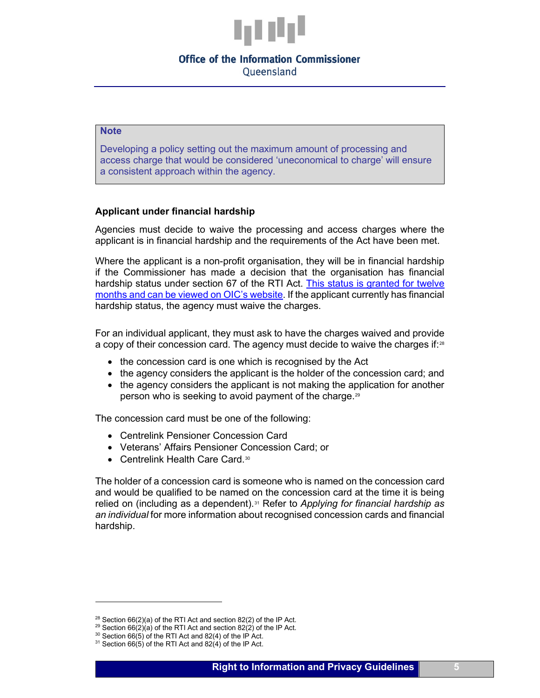

Queensland

#### **Note**

Developing a policy setting out the maximum amount of processing and access charge that would be considered 'uneconomical to charge' will ensure a consistent approach within the agency.

## **Applicant under financial hardship**

Agencies must decide to waive the processing and access charges where the applicant is in financial hardship and the requirements of the Act have been met.

Where the applicant is a non-profit organisation, they will be in financial hardship if the Commissioner has made a decision that the organisation has financial hardship status under section 67 of the RTI Act. [This status is granted for twelve](https://www.oic.qld.gov.au/decisions/financial-hardship-decisions)  [months and can be viewed on OIC's](https://www.oic.qld.gov.au/decisions/financial-hardship-decisions) website. If the applicant currently has financial hardship status, the agency must waive the charges.

For an individual applicant, they must ask to have the charges waived and provide a copy of their concession card. The agency must decide to waive the charges if:<sup>[28](#page-4-0)</sup>

- the concession card is one which is recognised by the Act
- the agency considers the applicant is the holder of the concession card; and
- the agency considers the applicant is not making the application for another person who is seeking to avoid payment of the charge.[29](#page-4-1)

The concession card must be one of the following:

- Centrelink Pensioner Concession Card
- Veterans' Affairs Pensioner Concession Card; or
- Centrelink Health Care Card.<sup>30</sup>

The holder of a concession card is someone who is named on the concession card and would be qualified to be named on the concession card at the time it is being relied on (including as a dependent).<sup>[31](#page-4-3)</sup> Refer to *Applying for financial hardship as an individual* for more information about recognised concession cards and financial hardship.

<span id="page-4-1"></span><span id="page-4-0"></span> $28$  Section 66(2)(a) of the RTI Act and section 82(2) of the IP Act.

<sup>&</sup>lt;sup>29</sup> Section 66 $\overline{(2)}$ (a) of the RTI Act and section 82(2) of the IP Act.

<span id="page-4-2"></span> $30$  Section 66(5) of the RTI Act and 82(4) of the IP Act.

<span id="page-4-3"></span> $31$  Section 66(5) of the RTI Act and 82(4) of the IP Act.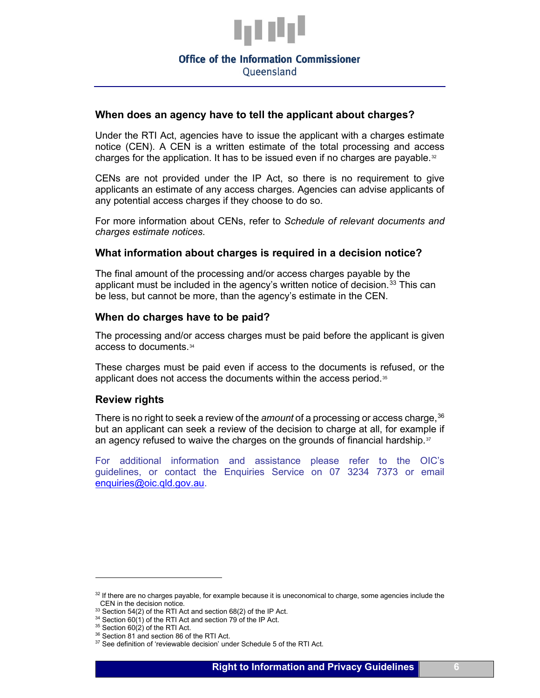

Queensland

## **When does an agency have to tell the applicant about charges?**

Under the RTI Act, agencies have to issue the applicant with a charges estimate notice (CEN). A CEN is a written estimate of the total processing and access charges for the application. It has to be issued even if no charges are payable. $32$ 

CENs are not provided under the IP Act, so there is no requirement to give applicants an estimate of any access charges. Agencies can advise applicants of any potential access charges if they choose to do so.

For more information about CENs, refer to *Schedule of relevant documents and charges estimate notices*.

## **What information about charges is required in a decision notice?**

The final amount of the processing and/or access charges payable by the applicant must be included in the agency's written notice of decision. $33$  This can be less, but cannot be more, than the agency's estimate in the CEN.

## **When do charges have to be paid?**

The processing and/or access charges must be paid before the applicant is given access to documents.[34](#page-5-2)

These charges must be paid even if access to the documents is refused, or the applicant does not access the documents within the access period.<sup>[35](#page-5-3)</sup>

#### **Review rights**

There is no right to seek a review of the *amount* of a processing or access charge,<sup>[36](#page-5-4)</sup> but an applicant can seek a review of the decision to charge at all, for example if an agency refused to waive the charges on the grounds of financial hardship. $37$ 

For additional information and assistance please refer to the OIC's guidelines, or contact the Enquiries Service on 07 3234 7373 or email [enquiries@oic.qld.gov.au.](mailto:enquiries@oic.qld.gov.au)

<span id="page-5-0"></span> $32$  If there are no charges payable, for example because it is uneconomical to charge, some agencies include the CEN in the decision notice.

<span id="page-5-1"></span> $33$  Section 54(2) of the RTI Act and section 68(2) of the IP Act.

<span id="page-5-2"></span> $34$  Section 60(1) of the RTI Act and section 79 of the IP Act.

 $35$  Section 60(2) of the RTI Act.

<span id="page-5-4"></span><span id="page-5-3"></span><sup>&</sup>lt;sup>36</sup> Section 81 and section 86 of the RTI Act.

<span id="page-5-5"></span><sup>&</sup>lt;sup>37</sup> See definition of 'reviewable decision' under Schedule 5 of the RTI Act.